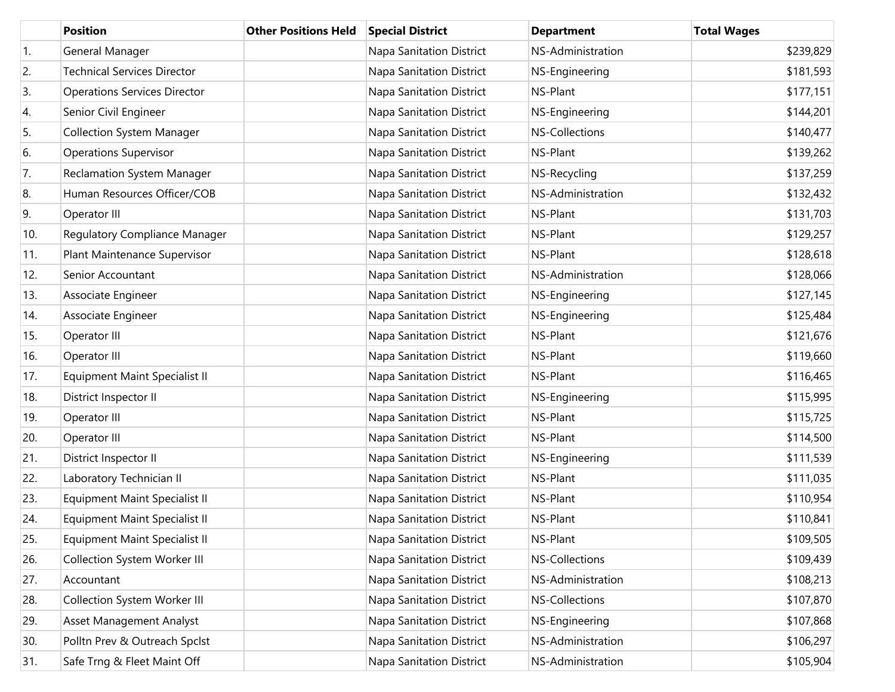|                  | <b>Position</b>                      | <b>Other Positions Held</b> | <b>Special District</b>         | <b>Department</b>     | <b>Total Wages</b> |
|------------------|--------------------------------------|-----------------------------|---------------------------------|-----------------------|--------------------|
| $\overline{1}$ . | General Manager                      |                             | <b>Napa Sanitation District</b> | NS-Administration     | \$239,829          |
| 2.               | <b>Technical Services Director</b>   |                             | Napa Sanitation District        | NS-Engineering        | \$181,593          |
| 3.               | <b>Operations Services Director</b>  |                             | Napa Sanitation District        | NS-Plant              | \$177,151          |
| 4.               | Senior Civil Engineer                |                             | Napa Sanitation District        | NS-Engineering        | \$144,201          |
| 5.               | <b>Collection System Manager</b>     |                             | Napa Sanitation District        | <b>NS-Collections</b> | \$140,477          |
| 6.               | <b>Operations Supervisor</b>         |                             | Napa Sanitation District        | NS-Plant              | \$139,262          |
| 7.               | <b>Reclamation System Manager</b>    |                             | Napa Sanitation District        | NS-Recycling          | \$137,259          |
| 8.               | Human Resources Officer/COB          |                             | Napa Sanitation District        | NS-Administration     | \$132,432          |
| 9.               | Operator III                         |                             | Napa Sanitation District        | NS-Plant              | \$131,703          |
| 10.              | Regulatory Compliance Manager        |                             | Napa Sanitation District        | NS-Plant              | \$129,257          |
| 11.              | Plant Maintenance Supervisor         |                             | Napa Sanitation District        | NS-Plant              | \$128,618          |
| 12.              | Senior Accountant                    |                             | Napa Sanitation District        | NS-Administration     | \$128,066          |
| 13.              | Associate Engineer                   |                             | Napa Sanitation District        | NS-Engineering        | \$127,145          |
| 14.              | Associate Engineer                   |                             | Napa Sanitation District        | NS-Engineering        | \$125,484          |
| 15.              | Operator III                         |                             | Napa Sanitation District        | NS-Plant              | \$121,676          |
| 16.              | Operator III                         |                             | Napa Sanitation District        | NS-Plant              | \$119,660          |
| 17.              | <b>Equipment Maint Specialist II</b> |                             | Napa Sanitation District        | NS-Plant              | \$116,465          |
| 18.              | District Inspector II                |                             | Napa Sanitation District        | NS-Engineering        | \$115,995          |
| 19.              | Operator III                         |                             | Napa Sanitation District        | NS-Plant              | \$115,725          |
| 20.              | Operator III                         |                             | Napa Sanitation District        | NS-Plant              | \$114,500          |
| 21.              | District Inspector II                |                             | Napa Sanitation District        | NS-Engineering        | \$111,539          |
| 22.              | Laboratory Technician II             |                             | Napa Sanitation District        | NS-Plant              | \$111,035          |
| 23.              | <b>Equipment Maint Specialist II</b> |                             | Napa Sanitation District        | NS-Plant              | \$110,954          |
| 24.              | <b>Equipment Maint Specialist II</b> |                             | Napa Sanitation District        | NS-Plant              | \$110,841          |
| 25.              | <b>Equipment Maint Specialist II</b> |                             | Napa Sanitation District        | NS-Plant              | \$109,505          |
| 26.              | Collection System Worker III         |                             | Napa Sanitation District        | NS-Collections        | \$109,439          |
| 27.              | Accountant                           |                             | Napa Sanitation District        | NS-Administration     | \$108,213          |
| 28.              | Collection System Worker III         |                             | Napa Sanitation District        | <b>NS-Collections</b> | \$107,870          |
| 29.              | Asset Management Analyst             |                             | Napa Sanitation District        | NS-Engineering        | \$107,868          |
| 30.              | Polltn Prev & Outreach Spclst        |                             | Napa Sanitation District        | NS-Administration     | \$106,297          |
| 31.              | Safe Trng & Fleet Maint Off          |                             | Napa Sanitation District        | NS-Administration     | \$105,904          |